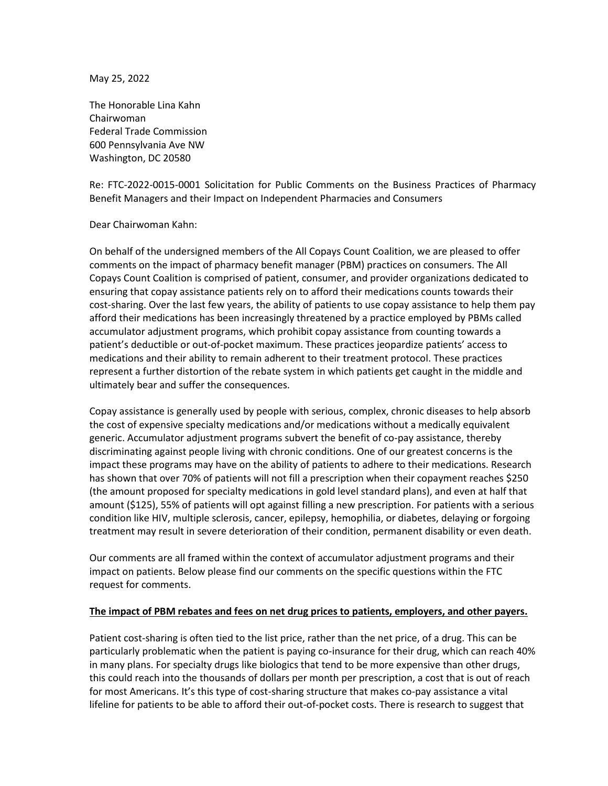May 25, 2022

The Honorable Lina Kahn Chairwoman Federal Trade Commission 600 Pennsylvania Ave NW Washington, DC 20580

Re: FTC-2022-0015-0001 Solicitation for Public Comments on the Business Practices of Pharmacy Benefit Managers and their Impact on Independent Pharmacies and Consumers

#### Dear Chairwoman Kahn:

On behalf of the undersigned members of the All Copays Count Coalition, we are pleased to offer comments on the impact of pharmacy benefit manager (PBM) practices on consumers. The All Copays Count Coalition is comprised of patient, consumer, and provider organizations dedicated to ensuring that copay assistance patients rely on to afford their medications counts towards their cost-sharing. Over the last few years, the ability of patients to use copay assistance to help them pay afford their medications has been increasingly threatened by a practice employed by PBMs called accumulator adjustment programs, which prohibit copay assistance from counting towards a patient's deductible or out-of-pocket maximum. These practices jeopardize patients' access to medications and their ability to remain adherent to their treatment protocol. These practices represent a further distortion of the rebate system in which patients get caught in the middle and ultimately bear and suffer the consequences.

Copay assistance is generally used by people with serious, complex, chronic diseases to help absorb the cost of expensive specialty medications and/or medications without a medically equivalent generic. Accumulator adjustment programs subvert the benefit of co-pay assistance, thereby discriminating against people living with chronic conditions. One of our greatest concerns is the impact these programs may have on the ability of patients to adhere to their medications. Research has shown that over 70% of patients will not fill a prescription when their copayment reaches \$250 (the amount proposed for specialty medications in gold level standard plans), and even at half that amount (\$125), 55% of patients will opt against filling a new prescription. For patients with a serious condition like HIV, multiple sclerosis, cancer, epilepsy, hemophilia, or diabetes, delaying or forgoing treatment may result in severe deterioration of their condition, permanent disability or even death.

Our comments are all framed within the context of accumulator adjustment programs and their impact on patients. Below please find our comments on the specific questions within the FTC request for comments.

#### **The impact of PBM rebates and fees on net drug prices to patients, employers, and other payers.**

Patient cost-sharing is often tied to the list price, rather than the net price, of a drug. This can be particularly problematic when the patient is paying co-insurance for their drug, which can reach 40% in many plans. For specialty drugs like biologics that tend to be more expensive than other drugs, this could reach into the thousands of dollars per month per prescription, a cost that is out of reach for most Americans. It's this type of cost-sharing structure that makes co-pay assistance a vital lifeline for patients to be able to afford their out-of-pocket costs. There is research to suggest that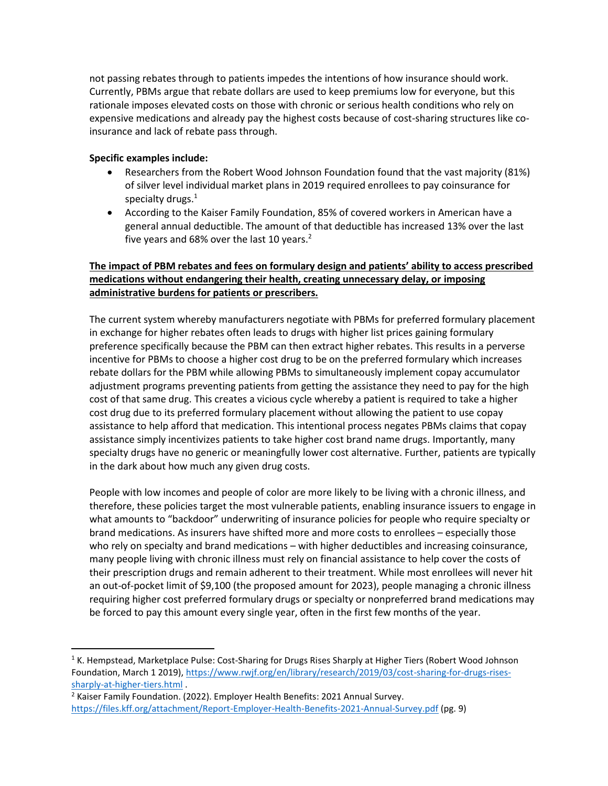not passing rebates through to patients impedes the intentions of how insurance should work. Currently, PBMs argue that rebate dollars are used to keep premiums low for everyone, but this rationale imposes elevated costs on those with chronic or serious health conditions who rely on expensive medications and already pay the highest costs because of cost-sharing structures like coinsurance and lack of rebate pass through.

## **Specific examples include:**

- Researchers from the Robert Wood Johnson Foundation found that the vast majority (81%) of silver level individual market plans in 2019 required enrollees to pay coinsurance for specialty drugs.<sup>1</sup>
- According to the Kaiser Family Foundation, 85% of covered workers in American have a general annual deductible. The amount of that deductible has increased 13% over the last five years and 68% over the last 10 years.<sup>2</sup>

# **The impact of PBM rebates and fees on formulary design and patients' ability to access prescribed medications without endangering their health, creating unnecessary delay, or imposing administrative burdens for patients or prescribers.**

The current system whereby manufacturers negotiate with PBMs for preferred formulary placement in exchange for higher rebates often leads to drugs with higher list prices gaining formulary preference specifically because the PBM can then extract higher rebates. This results in a perverse incentive for PBMs to choose a higher cost drug to be on the preferred formulary which increases rebate dollars for the PBM while allowing PBMs to simultaneously implement copay accumulator adjustment programs preventing patients from getting the assistance they need to pay for the high cost of that same drug. This creates a vicious cycle whereby a patient is required to take a higher cost drug due to its preferred formulary placement without allowing the patient to use copay assistance to help afford that medication. This intentional process negates PBMs claims that copay assistance simply incentivizes patients to take higher cost brand name drugs. Importantly, many specialty drugs have no generic or meaningfully lower cost alternative. Further, patients are typically in the dark about how much any given drug costs.

People with low incomes and people of color are more likely to be living with a chronic illness, and therefore, these policies target the most vulnerable patients, enabling insurance issuers to engage in what amounts to "backdoor" underwriting of insurance policies for people who require specialty or brand medications. As insurers have shifted more and more costs to enrollees – especially those who rely on specialty and brand medications – with higher deductibles and increasing coinsurance, many people living with chronic illness must rely on financial assistance to help cover the costs of their prescription drugs and remain adherent to their treatment. While most enrollees will never hit an out-of-pocket limit of \$9,100 (the proposed amount for 2023), people managing a chronic illness requiring higher cost preferred formulary drugs or specialty or nonpreferred brand medications may be forced to pay this amount every single year, often in the first few months of the year.

<sup>&</sup>lt;sup>1</sup> K. Hempstead, Marketplace Pulse: Cost-Sharing for Drugs Rises Sharply at Higher Tiers (Robert Wood Johnson Foundation, March 1 2019), [https://www.rwjf.org/en/library/research/2019/03/cost-sharing-for-drugs-rises](https://www.rwjf.org/en/library/research/2019/03/cost-sharing-for-drugs-rises-sharply-at-higher-tiers.html)[sharply-at-higher-tiers.html](https://www.rwjf.org/en/library/research/2019/03/cost-sharing-for-drugs-rises-sharply-at-higher-tiers.html) .

<sup>&</sup>lt;sup>2</sup> Kaiser Family Foundation. (2022). Employer Health Benefits: 2021 Annual Survey. <https://files.kff.org/attachment/Report-Employer-Health-Benefits-2021-Annual-Survey.pdf> (pg. 9)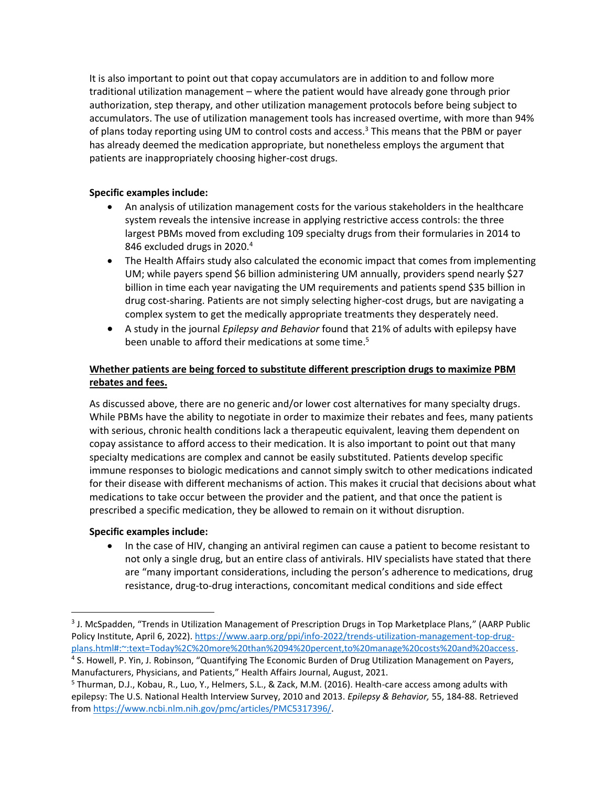It is also important to point out that copay accumulators are in addition to and follow more traditional utilization management – where the patient would have already gone through prior authorization, step therapy, and other utilization management protocols before being subject to accumulators. The use of utilization management tools has increased overtime, with more than 94% of plans today reporting using UM to control costs and access.<sup>3</sup> This means that the PBM or payer has already deemed the medication appropriate, but nonetheless employs the argument that patients are inappropriately choosing higher-cost drugs.

#### **Specific examples include:**

- An analysis of utilization management costs for the various stakeholders in the healthcare system reveals the intensive increase in applying restrictive access controls: the three largest PBMs moved from excluding 109 specialty drugs from their formularies in 2014 to 846 excluded drugs in 2020.<sup>4</sup>
- The Health Affairs study also calculated the economic impact that comes from implementing UM; while payers spend \$6 billion administering UM annually, providers spend nearly \$27 billion in time each year navigating the UM requirements and patients spend \$35 billion in drug cost-sharing. Patients are not simply selecting higher-cost drugs, but are navigating a complex system to get the medically appropriate treatments they desperately need.
- A study in the journal *Epilepsy and Behavior* found that 21% of adults with epilepsy have been unable to afford their medications at some time.<sup>5</sup>

## **Whether patients are being forced to substitute different prescription drugs to maximize PBM rebates and fees.**

As discussed above, there are no generic and/or lower cost alternatives for many specialty drugs. While PBMs have the ability to negotiate in order to maximize their rebates and fees, many patients with serious, chronic health conditions lack a therapeutic equivalent, leaving them dependent on copay assistance to afford access to their medication. It is also important to point out that many specialty medications are complex and cannot be easily substituted. Patients develop specific immune responses to biologic medications and cannot simply switch to other medications indicated for their disease with different mechanisms of action. This makes it crucial that decisions about what medications to take occur between the provider and the patient, and that once the patient is prescribed a specific medication, they be allowed to remain on it without disruption.

#### **Specific examples include:**

• In the case of HIV, changing an antiviral regimen can cause a patient to become resistant to not only a single drug, but an entire class of antivirals. HIV specialists have stated that there are "many important considerations, including the person's adherence to medications, drug resistance, drug-to-drug interactions, concomitant medical conditions and side effect

<sup>&</sup>lt;sup>3</sup> J. McSpadden, "Trends in Utilization Management of Prescription Drugs in Top Marketplace Plans," (AARP Public Policy Institute, April 6, 2022). [https://www.aarp.org/ppi/info-2022/trends-utilization-management-top-drug](https://www.aarp.org/ppi/info-2022/trends-utilization-management-top-drug-plans.html#:~:text=Today%2C%20more%20than%2094%20percent,to%20manage%20costs%20and%20access)[plans.html#:~:text=Today%2C%20more%20than%2094%20percent,to%20manage%20costs%20and%20access.](https://www.aarp.org/ppi/info-2022/trends-utilization-management-top-drug-plans.html#:~:text=Today%2C%20more%20than%2094%20percent,to%20manage%20costs%20and%20access)

<sup>4</sup> S. Howell, P. Yin, J. Robinson, "Quantifying The Economic Burden of Drug Utilization Management on Payers, Manufacturers, Physicians, and Patients," Health Affairs Journal, August, 2021.

<sup>5</sup> Thurman, D.J., Kobau, R., Luo, Y., Helmers, S.L., & Zack, M.M. (2016). Health-care access among adults with epilepsy: The U.S. National Health Interview Survey, 2010 and 2013. *Epilepsy & Behavior,* 55, 184-88. Retrieved from [https://www.ncbi.nlm.nih.gov/pmc/articles/PMC5317396/.](https://www.ncbi.nlm.nih.gov/pmc/articles/PMC5317396/)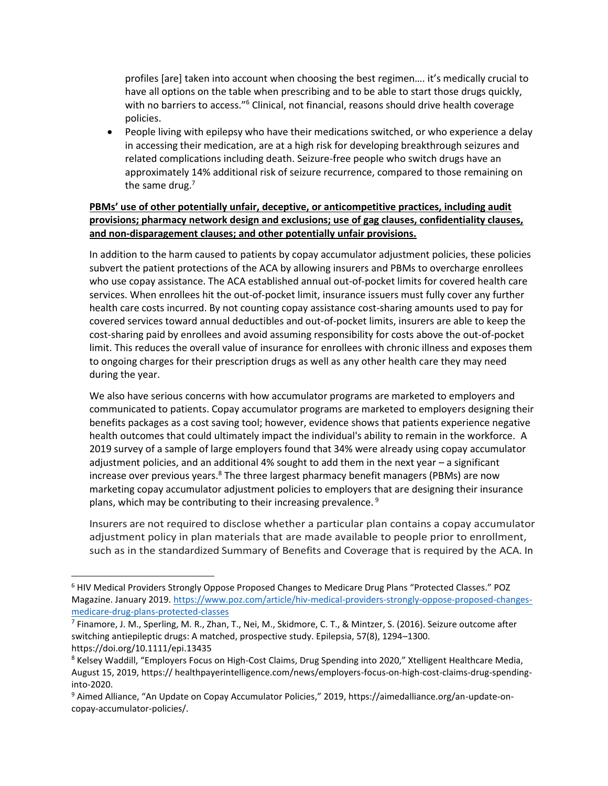profiles [are] taken into account when choosing the best regimen…. it's medically crucial to have all options on the table when prescribing and to be able to start those drugs quickly, with no barriers to access."<sup>6</sup> Clinical, not financial, reasons should drive health coverage policies.

• People living with epilepsy who have their medications switched, or who experience a delay in accessing their medication, are at a high risk for developing breakthrough seizures and related complications including death. Seizure-free people who switch drugs have an approximately 14% additional risk of seizure recurrence, compared to those remaining on the same drug. $<sup>7</sup>$ </sup>

## **PBMs' use of other potentially unfair, deceptive, or anticompetitive practices, including audit provisions; pharmacy network design and exclusions; use of gag clauses, confidentiality clauses, and non-disparagement clauses; and other potentially unfair provisions.**

In addition to the harm caused to patients by copay accumulator adjustment policies, these policies subvert the patient protections of the ACA by allowing insurers and PBMs to overcharge enrollees who use copay assistance. The ACA established annual out-of-pocket limits for covered health care services. When enrollees hit the out-of-pocket limit, insurance issuers must fully cover any further health care costs incurred. By not counting copay assistance cost-sharing amounts used to pay for covered services toward annual deductibles and out-of-pocket limits, insurers are able to keep the cost-sharing paid by enrollees and avoid assuming responsibility for costs above the out-of-pocket limit. This reduces the overall value of insurance for enrollees with chronic illness and exposes them to ongoing charges for their prescription drugs as well as any other health care they may need during the year.

We also have serious concerns with how accumulator programs are marketed to employers and communicated to patients. Copay accumulator programs are marketed to employers designing their benefits packages as a cost saving tool; however, evidence shows that patients experience negative health outcomes that could ultimately impact the individual's ability to remain in the workforce. A 2019 survey of a sample of large employers found that 34% were already using copay accumulator adjustment policies, and an additional 4% sought to add them in the next year – a significant increase over previous years. $8$  The three largest pharmacy benefit managers (PBMs) are now marketing copay accumulator adjustment policies to employers that are designing their insurance plans, which may be contributing to their increasing prevalence.  $9$ 

Insurers are not required to disclose whether a particular plan contains a copay accumulator adjustment policy in plan materials that are made available to people prior to enrollment, such as in the standardized Summary of Benefits and Coverage that is required by the ACA. In

<sup>6</sup> HIV Medical Providers Strongly Oppose Proposed Changes to Medicare Drug Plans "Protected Classes." POZ Magazine. January 2019[. https://www.poz.com/article/hiv-medical-providers-strongly-oppose-proposed-changes](https://www.poz.com/article/hiv-medical-providers-strongly-oppose-proposed-changes-medicare-drug-plans-protected-classes)[medicare-drug-plans-protected-classes](https://www.poz.com/article/hiv-medical-providers-strongly-oppose-proposed-changes-medicare-drug-plans-protected-classes)

<sup>7</sup> Finamore, J. M., Sperling, M. R., Zhan, T., Nei, M., Skidmore, C. T., & Mintzer, S. (2016). Seizure outcome after switching antiepileptic drugs: A matched, prospective study. Epilepsia, 57(8), 1294–1300. https://doi.org/10.1111/epi.13435

<sup>&</sup>lt;sup>8</sup> Kelsey Waddill, "Employers Focus on High-Cost Claims, Drug Spending into 2020," Xtelligent Healthcare Media, August 15, 2019, https:// healthpayerintelligence.com/news/employers-focus-on-high-cost-claims-drug-spendinginto-2020.

<sup>9</sup> Aimed Alliance, "An Update on Copay Accumulator Policies," 2019, https://aimedalliance.org/an-update-oncopay-accumulator-policies/.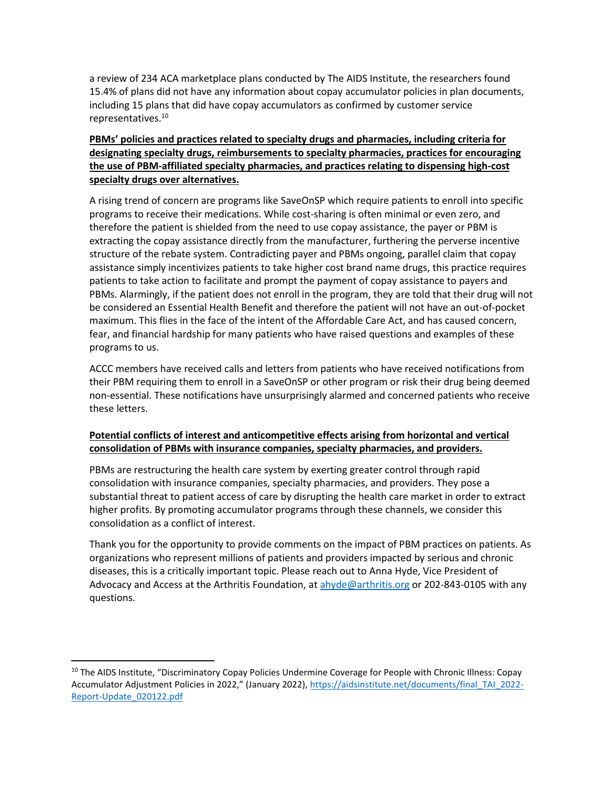a review of 234 ACA marketplace plans conducted by The AIDS Institute, the researchers found 15.4% of plans did not have any information about copay accumulator policies in plan documents, including 15 plans that did have copay accumulators as confirmed by customer service representatives. 10

# **PBMs' policies and practices related to specialty drugs and pharmacies, including criteria for designating specialty drugs, reimbursements to specialty pharmacies, practices for encouraging the use of PBM-affiliated specialty pharmacies, and practices relating to dispensing high-cost specialty drugs over alternatives.**

A rising trend of concern are programs like SaveOnSP which require patients to enroll into specific programs to receive their medications. While cost-sharing is often minimal or even zero, and therefore the patient is shielded from the need to use copay assistance, the payer or PBM is extracting the copay assistance directly from the manufacturer, furthering the perverse incentive structure of the rebate system. Contradicting payer and PBMs ongoing, parallel claim that copay assistance simply incentivizes patients to take higher cost brand name drugs, this practice requires patients to take action to facilitate and prompt the payment of copay assistance to payers and PBMs. Alarmingly, if the patient does not enroll in the program, they are told that their drug will not be considered an Essential Health Benefit and therefore the patient will not have an out-of-pocket maximum. This flies in the face of the intent of the Affordable Care Act, and has caused concern, fear, and financial hardship for many patients who have raised questions and examples of these programs to us.

ACCC members have received calls and letters from patients who have received notifications from their PBM requiring them to enroll in a SaveOnSP or other program or risk their drug being deemed non-essential. These notifications have unsurprisingly alarmed and concerned patients who receive these letters.

### **Potential conflicts of interest and anticompetitive effects arising from horizontal and vertical consolidation of PBMs with insurance companies, specialty pharmacies, and providers.**

PBMs are restructuring the health care system by exerting greater control through rapid consolidation with insurance companies, specialty pharmacies, and providers. They pose a substantial threat to patient access of care by disrupting the health care market in order to extract higher profits. By promoting accumulator programs through these channels, we consider this consolidation as a conflict of interest.

Thank you for the opportunity to provide comments on the impact of PBM practices on patients. As organizations who represent millions of patients and providers impacted by serious and chronic diseases, this is a critically important topic. Please reach out to Anna Hyde, Vice President of Advocacy and Access at the Arthritis Foundation, at [ahyde@arthritis.org](mailto:ahyde@arthritis.org) or 202-843-0105 with any questions.

<sup>&</sup>lt;sup>10</sup> The AIDS Institute, "Discriminatory Copay Policies Undermine Coverage for People with Chronic Illness: Copay Accumulator Adjustment Policies in 2022," (January 2022), [https://aidsinstitute.net/documents/final\\_TAI\\_2022-](https://aidsinstitute.net/documents/final_TAI_2022-Report-Update_020122.pdf) [Report-Update\\_020122.pdf](https://aidsinstitute.net/documents/final_TAI_2022-Report-Update_020122.pdf)